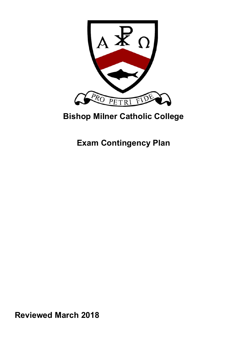

# **Bishop Milner Catholic College**

**Exam Contingency Plan** 

**Reviewed March 2018**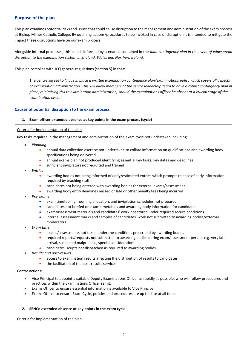# **Purpose of the plan**

This plan examines potential risks and issues that could cause disruption to the management and administration of the exam process at Bishop Milner Catholic College. By outlining actions/procedures to be invoked in case of disruption it is intended to mitigate the impact these disruptions have on our exam process.

Alongside internal processes, this plan is informed by scenarios contained in the *Joint contingency plan in the event of widespread disruption to the examination system in England, Wales and Northern Ireland.* 

This plan complies with JCQ general regulations (section 5) in that:

The centre agrees to *"have in place a written examination contingency plan/examinations policy which covers all aspects of examination administration. This will allow members of the senior leadership team to have a robust contingency plan in place, minimising risk to examination administration, should the examinations officer be absent at a crucial stage of the examination cycle;"*

# **Causes of potential disruption to the exam process**

# **1. Exam officer extended absence at key points in the exam process (cycle)**

# Criteria for implementation of the plan

Key tasks required in the management and administration of the exam cycle not undertaken including:

- *Planning*
	- annual data collection exercise not undertaken to collate information on qualifications and awarding body specifications being delivered
	- annual exams plan not produced identifying essential key tasks, key dates and deadlines
	- sufficient invigilators not recruited and trained
- *Entries* 
	- awarding bodies not being informed of early/estimated entries which prompts release of early information required by teaching staff
	- candidates not being entered with awarding bodies for external exams/assessment
	- awarding body entry deadlines missed or late or other penalty fees being incurred
- *Pre‐exams* 
	- exam timetabling, rooming allocation; and invigilation schedules not prepared
	- candidates not briefed on exam timetables and awarding body information for candidates
	- exam/assessment materials and candidates' work not stored under required secure conditions
	- internal assessment marks and samples of candidates' work not submitted to awarding bodies/external moderators
- *Exam time* 
	- exams/assessments not taken under the conditions prescribed by awarding bodies
	- required reports/requests not submitted to awarding bodies during exam/assessment periods e.g. very late arrival, suspected malpractice, special consideration
	- candidates' scripts not dispatched as required to awarding bodies
- *Results and post‐results* 
	- access to examination results affecting the distribution of results to candidates
	- the facilitation of the post‐results services

# Centre actions:

- Vice Principal to appoint a suitable Deputy Examinations Officer as rapidly as possible, who will follow procedures and practices within the Examinations Officer remit.
- Exams Officer to ensure essential information is available to Vice Principal
- Exams Officer to ensure Exam Cycle, policies and procedures are up to date at all times

# **2. SENCo extended absence at key points in the exam cycle**

Criteria for implementation of the plan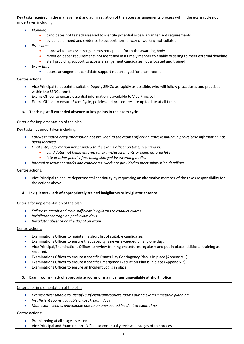Key tasks required in the management and administration of the access arrangements process within the exam cycle not undertaken including:

- *Planning*
	- candidates not tested/assessed to identify potential access arrangement requirements
	- evidence of need and evidence to support normal way of working not collated
- *Pre‐exams* 
	- approval for access arrangements not applied for to the awarding body
	- modified paper requirements not identified in a timely manner to enable ordering to meet external deadline
		- staff providing support to access arrangement candidates not allocated and trained
- *Exam time* 
	- access arrangement candidate support not arranged for exam rooms

# Centre actions:

- Vice Principal to appoint a suitable Deputy SENCo as rapidly as possible, who will follow procedures and practices within the SENCo remit.
- Exams Officer to ensure essential information is available to Vice Principal
- Exams Officer to ensure Exam Cycle, policies and procedures are up to date at all times

# **3. Teaching staff extended absence at key points in the exam cycle**

# Criteria for implementation of the plan

Key tasks not undertaken including:

- *Early/estimated entry information not provided to the exams officer on time; resulting in pre‐release information not being received*
- *Final entry information not provided to the exams officer on time; resulting in:*
	- *candidates not being entered for exams/assessments or being entered late*
	- *late or other penalty fees being charged by awarding bodies*
- *Internal assessment marks and candidates' work not provided to meet submission deadlines*

# Centre actions:

 Vice Principal to ensure departmental continuity by requesting an alternative member of the takes responsibility for the actions above.

# **4. Invigilators ‐ lack of appropriately trained invigilators or invigilator absence**

# Criteria for implementation of the plan

- *Failure to recruit and train sufficient invigilators to conduct exams*
- *Invigilator shortage on peak exam days*
- *Invigilator absence on the day of an exam*

# Centre actions:

- Examinations Officer to maintain a short list of suitable candidates.
- Examinations Officer to ensure that capacity is never exceeded on any one day.
- Vice Principal/Examinations Officer to review training procedures regularly and put in place additional training as required.
- Examinations Officer to ensure a specific Exams Day Contingency Plan is in place (Appendix 1)
- Examinations Officer to ensure a specific Emergency Evacuation Plan is in place (Appendix 2)
- Examinations Officer to ensure an Incident Log is in place

# **5. Exam rooms ‐ lack of appropriate rooms or main venues unavailable at short notice**

# Criteria for implementation of the plan

- *Exams officer unable to identify sufficient/appropriate rooms during exams timetable planning*
- *Insufficient rooms available on peak exam days*
- *Main exam venues unavailable due to an unexpected incident at exam time*

# Centre actions:

- Pre-planning at all stages is essential.
- Vice Principal and Examinations Officer to continually review all stages of the process.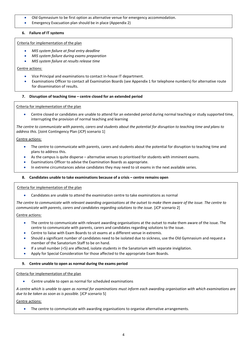- Old Gymnasium to be first option as alternative venue for emergency accommodation.
- Emergency Evacuation plan should be in place (Appendix 2)

# **6. Failure of IT systems**

# Criteria for implementation of the plan

- *MIS system failure at final entry deadline*
- *MIS system failure during exams preparation*
- *MIS system failure at results release time*

# Centre actions:

- Vice Principal and examinations to contact in-house IT department.
- Examinations Officer to contact all Examination Boards (see Appendix 1 for telephone numbers) for alternative route for dissemination of results.

# **7. Disruption of teaching time – centre closed for an extended period**

# Criteria for implementation of the plan

 Centre closed or candidates are unable to attend for an extended period during normal teaching or study supported time, interrupting the provision of normal teaching and learning

*The centre to communicate with parents, carers and students about the potential for disruption to teaching time and plans to address this.* [Joint Contingency Plan (JCP) scenario 1]

# Centre actions:

- The centre to communicate with parents, carers and students about the potential for disruption to teaching time and plans to address this.
- As the campus is quite disperse alternative venues to prioritised for students with imminent exams.
- Examinations Officer to advise the Examination Boards as appropriate.
- In extreme circumstances advise candidates they may need to sit exams in the next available series.

# **8. Candidates unable to take examinations because of a crisis – centre remains open**

# Criteria for implementation of the plan

Candidates are unable to attend the examination centre to take examinations as normal

*The centre to communicate with relevant awarding organisations at the outset to make them aware of the issue. The centre to communicate with parents, carers and candidates regarding solutions to the issue.* [JCP scenario 2]

# Centre actions:

- The centre to communicate with relevant awarding organisations at the outset to make them aware of the issue. The centre to communicate with parents, carers and candidates regarding solutions to the issue.
- Centre to liaise with Exam Boards to sit exams at a different venue in extremis.
- Should a significant number of candidates need to be isolated due to sickness, use the Old Gymnasium and request a member of the Sanatorium Staff to be on hand.
- If a small number (<5) are affected, isolate students in the Sanatorium with separate invigilation.
- Apply for Special Consideration for those affected to the appropriate Exam Boards.

# **9. Centre unable to open as normal during the exams period**

# Criteria for implementation of the plan

Centre unable to open as normal for scheduled examinations

*A centre which is unable to open as normal for examinations must inform each awarding organisation with which examinations are due to be taken as soon as is possible.* [JCP scenario 5]

Centre actions:

The centre to communicate with awarding organisations to organise alternative arrangements.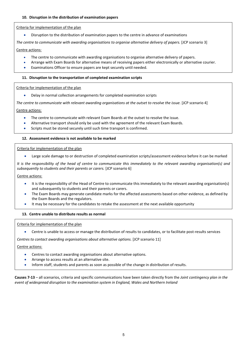# **10. Disruption in the distribution of examination papers**

# Criteria for implementation of the plan

Disruption to the distribution of examination papers to the centre in advance of examinations

*The centre to communicate with awarding organisations to organise alternative delivery of papers.* [JCP scenario 3]

# Centre actions:

- The centre to communicate with awarding organisations to organise alternative delivery of papers.
- Arrange with Exam Boards for alternative means of receiving papers either electronically or alternative courier.
- Examinations Officer to ensure papers are kept securely until needed.

# **11. Disruption to the transportation of completed examination scripts**

# Criteria for implementation of the plan

Delay in normal collection arrangements for completed examination scripts

The centre to communicate with relevant awarding organisations at the outset to resolve the issue. [JCP scenario 4]

# Centre actions:

- The centre to communicate with relevant Exam Boards at the outset to resolve the issue.
- Alternative transport should only be used with the agreement of the relevant Exam Boards.
- Scripts must be stored securely until such time transport is confirmed.

# **12. Assessment evidence is not available to be marked**

# Criteria for implementation of the plan

Large scale damage to or destruction of completed examination scripts/assessment evidence before it can be marked

*It is the responsibility of the head of centre to communicate this immediately to the relevant awarding organisation(s) and subsequently to students and their parents or carers.* [JCP scenario 6]

# Centre actions:

- It is the responsibility of the Head of Centre to communicate this immediately to the relevant awarding organisation(s) and subsequently to students and their parents or carers.
- The Exam Boards may generate candidate marks for the affected assessments based on other evidence, as defined by the Exam Boards and the regulators.
- It may be necessary for the candidates to retake the assessment at the next available opportunity

# **13. Centre unable to distribute results as normal**

# Criteria for implementation of the plan

● Centre is unable to access or manage the distribution of results to candidates, or to facilitate post-results services

*Centres to contact awarding organisations about alternative options.* [JCP scenario 11]

# Centre actions:

- Centres to contact awarding organisations about alternative options.
- Arrange to access results at an alternative site.
- Inform staff, students and parents as soon as possible of the change in distribution of results.

**Causes 7‐13** – all scenarios, criteria and specific communications have been taken directly from the *Joint contingency plan in the event of widespread disruption to the examination system in England, Wales and Northern Ireland*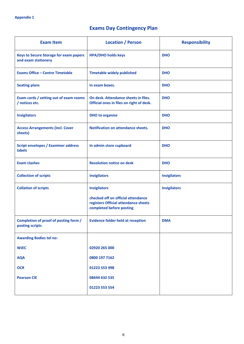# **Exams Day Contingency Plan**

| <b>Exam Item</b>                                                     | <b>Location / Person</b>                                                                                                      | <b>Responsibility</b> |
|----------------------------------------------------------------------|-------------------------------------------------------------------------------------------------------------------------------|-----------------------|
| <b>Keys to Secure Storage for exam papers</b><br>and exam stationery | <b>HPA/DHO holds keys</b>                                                                                                     | <b>DHO</b>            |
| <b>Exams Office - Centre Timetable</b>                               | <b>Timetable widely published</b>                                                                                             | <b>DHO</b>            |
| <b>Seating plans</b>                                                 | In exam boxes.                                                                                                                | <b>DHO</b>            |
| Exam cards / setting out of exam rooms<br>/ notices etc.             | On desk. Attendance sheets in files.<br>Official ones in files on right of desk.                                              | <b>DHO</b>            |
| <b>Invigilators</b>                                                  | <b>DHO</b> to organise                                                                                                        | <b>DHO</b>            |
| <b>Access Arrangements (incl. Cover</b><br>sheets)                   | Notification on attendance sheets.                                                                                            | <b>DHO</b>            |
| <b>Script envelopes / Examiner address</b><br>labels                 | In admin store cupboard                                                                                                       | <b>DHO</b>            |
| <b>Exam clashes</b>                                                  | <b>Resolution notice on desk</b>                                                                                              | <b>DHO</b>            |
| <b>Collection of scripts</b>                                         | <b>Invigilators</b>                                                                                                           | <b>Invigilators</b>   |
| <b>Collation of scripts</b>                                          | <b>Invigilators</b><br>checked off on official attendance<br>registers Official attendance sheets<br>completed before posting | <b>Invigilators</b>   |
| Completion of proof of posting form /<br>posting scripts             | <b>Evidence folder held at reception</b>                                                                                      | <b>DMA</b>            |
| <b>Awarding Bodies tel no:</b>                                       |                                                                                                                               |                       |
| <b>WJEC</b>                                                          | 02920 265 000                                                                                                                 |                       |
| <b>AQA</b>                                                           | 0800 197 7162                                                                                                                 |                       |
| <b>OCR</b>                                                           | 01223 553 998                                                                                                                 |                       |
| <b>Pearson CIE</b>                                                   | 08444 632 535                                                                                                                 |                       |
|                                                                      | 01223 553 554                                                                                                                 |                       |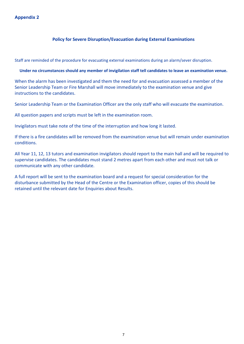# **Appendix 2**

# **Policy for Severe Disruption/Evacuation during External Examinations**

Staff are reminded of the procedure for evacuating external examinations during an alarm/sever disruption.

# **Under no circumstances should any member of invigilation staff tell candidates to leave an examination venue.**

When the alarm has been investigated and them the need for and evacuation assessed a member of the Senior Leadership Team or Fire Marshall will move immediately to the examination venue and give instructions to the candidates.

Senior Leadership Team or the Examination Officer are the only staff who will evacuate the examination.

All question papers and scripts must be left in the examination room.

Invigilators must take note of the time of the interruption and how long it lasted.

If there is a fire candidates will be removed from the examination venue but will remain under examination conditions.

All Year 11, 12, 13 tutors and examination invigilators should report to the main hall and will be required to supervise candidates. The candidates must stand 2 metres apart from each other and must not talk or communicate with any other candidate.

A full report will be sent to the examination board and a request for special consideration for the disturbance submitted by the Head of the Centre or the Examination officer, copies of this should be retained until the relevant date for Enquiries about Results.